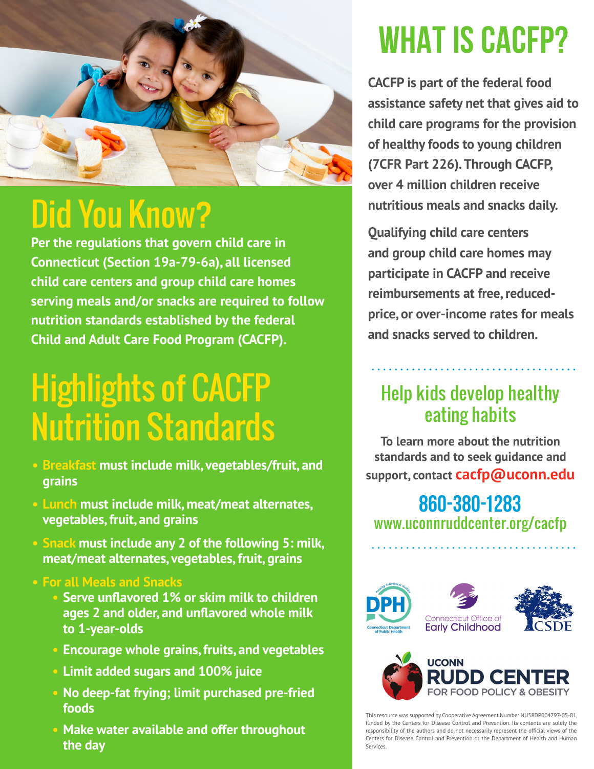

## Did You Know?

**Per the regulations that govern child care in Connecticut [\(Section 19a-79-6a\)](http://www.ct.gov/oec/lib/oec/licensing/childcare/centers_statsregs.pdf), all licensed child care centers and group child care homes serving meals and/or snacks are required to follow nutrition standards established by the federal Child and Adult Care Food Program (CACFP).**

# Highlights of CACFP Nutrition Standards

- **• Breakfast must include milk, vegetables/fruit, and grains**
- **• Lunch must include milk, meat/meat alternates, vegetables, fruit, and grains**
- **Snack must include any 2 of the following 5: milk, meat/meat alternates, vegetables, fruit, grains**
- **• For all Meals and Snacks**
	- **• Serve unflavored 1% or skim milk to children ages 2 and older, and unflavored whole milk to 1-year-olds**
	- **• Encourage whole grains, fruits, and vegetables**
	- **• Limit added sugars and 100% juice**
	- **• No deep-fat frying; limit purchased pre-fried foods**
	- **• Make water available and offer throughout the day**

# **WHAT IS CACFP?**

**CACFP is part of the federal food assistance safety net that gives aid to child care programs for the provision of healthy foods to young children [\(7CFR Part 226\)](https://www.fns.usda.gov/part-226%E2%80%94child-and-adult-care-food-program). Through CACFP, over 4 million children receive nutritious meals and snacks daily.** 

**Qualifying child care centers and group child care homes may participate in CACFP and receive reimbursements at free, reducedprice, or over-income rates for meals and snacks served to children.** 

#### Help kids develop healthy eating habits

**To learn more about the nutrition standards and to seek guidance and support, contact cacfp@uconn.edu**

#### **860-380-1283** [www.uconnruddcenter.org/cacfp](http://www.uconnruddcenter.org/cacfp)





This resource was supported by Cooperative Agreement Number NU58DP004797-05-01, funded by the Centers for Disease Control and Prevention. Its contents are solely the responsibility of the authors and do not necessarily represent the official views of the Centers for Disease Control and Prevention or the Department of Health and Human Services.